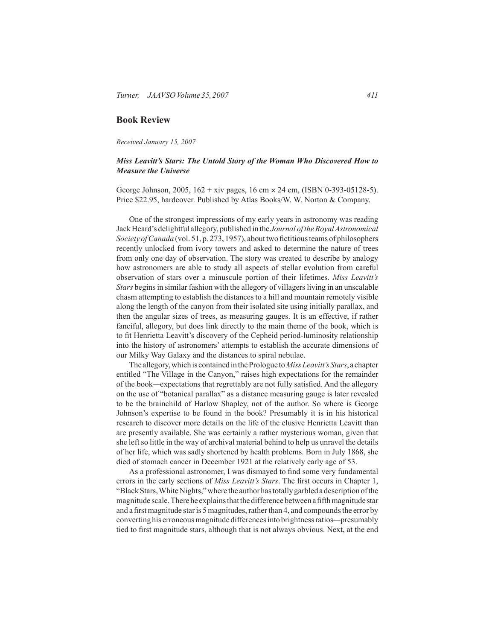## **Book Review**

*Received January 15, 2007*

## *Miss Leavitt's Stars: The Untold Story of the Woman Who Discovered How to Measure the Universe*

George Johnson, 2005, 162 + xiv pages, 16 cm × 24 cm, (ISBN 0-393-05128-5). Price \$22.95, hardcover. Published by Atlas Books/W. W. Norton & Company.

One of the strongest impressions of my early years in astronomy was reading Jack Heard's delightful allegory, published in the *Journal oftheRoyalAstronomical Society ofCanada* (vol. 51, p. 273, 1957), about two fictitious teams of philosophers recently unlocked from ivory towers and asked to determine the nature of trees from only one day of observation. The story was created to describe by analogy how astronomers are able to study all aspects of stellar evolution from careful observation of stars over a minuscule portion of their lifetimes. *Miss Leavitt's Stars* begins in similar fashion with the allegory of villagers living in an unscalable chasm attempting to establish the distances to a hill and mountain remotely visible along the length of the canyon from their isolated site using initially parallax, and then the angular sizes of trees, as measuring gauges. It is an effective, if rather fanciful, allegory, but does link directly to the main theme of the book, which is to fit Henrietta Leavitt's discovery of the Cepheid period-luminosity relationship into the history of astronomers' attempts to establish the accurate dimensions of our Milky Way Galaxy and the distances to spiral nebulae.

The allegory, which is contained in the Prologue to *Miss Leavitt's Stars*, a chapter entitled "The Village in the Canyon," raises high expectations for the remainder of the book*—*expectations that regrettably are not fully satisfied. And the allegory on the use of "botanical parallax" as a distance measuring gauge is later revealed to be the brainchild of Harlow Shapley, not of the author. So where is George Johnson's expertise to be found in the book? Presumably it is in his historical research to discover more details on the life of the elusive Henrietta Leavitt than are presently available. She was certainly a rather mysterious woman, given that she left so little in the way of archival material behind to help us unravel the details of her life, which was sadly shortened by health problems. Born in July 1868, she died of stomach cancer in December 1921 at the relatively early age of 53.

As a professional astronomer, I was dismayed to find some very fundamental errors in the early sections of *Miss Leavitt's Stars*. The first occurs in Chapter 1, "Black Stars, White Nights," where the author has totally garbled a description of the magnitude scale. There he explains that the difference between a fifth magnitude star and a first magnitude star is 5 magnitudes, rather than 4, and compounds the error by converting his erroneous magnitude differences into brightness ratios*—*presumably tied to first magnitude stars, although that is not always obvious. Next, at the end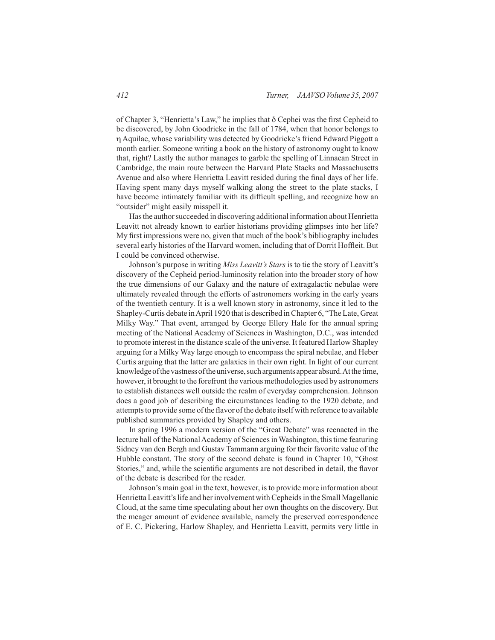of Chapter 3, "Henrietta's Law," he implies that δ Cephei was the first Cepheid to be discovered, by John Goodricke in the fall of 1784, when that honor belongs to η Aquilae, whose variability was detected by Goodricke's friend Edward Piggott a month earlier. Someone writing a book on the history of astronomy ought to know that, right? Lastly the author manages to garble the spelling of Linnaean Street in Cambridge, the main route between the Harvard Plate Stacks and Massachusetts Avenue and also where Henrietta Leavitt resided during the final days of her life. Having spent many days myself walking along the street to the plate stacks, I have become intimately familiar with its difficult spelling, and recognize how an "outsider" might easily misspell it.

Has the author succeeded in discovering additional information about Henrietta Leavitt not already known to earlier historians providing glimpses into her life? My first impressions were no, given that much of the book's bibliography includes several early histories of the Harvard women, including that of Dorrit Hoffleit. But I could be convinced otherwise.

Johnson's purpose in writing *Miss Leavitt's Stars* is to tie the story of Leavitt's discovery of the Cepheid period-luminosity relation into the broader story of how the true dimensions of our Galaxy and the nature of extragalactic nebulae were ultimately revealed through the efforts of astronomers working in the early years of the twentieth century. It is a well known story in astronomy, since it led to the Shapley-Curtis debate in April 1920 that is described in Chapter 6, "The Late, Great Milky Way." That event, arranged by George Ellery Hale for the annual spring meeting of the National Academy of Sciences in Washington, D.C., was intended to promote interest in the distance scale of the universe. It featured Harlow Shapley arguing for a Milky Way large enough to encompass the spiral nebulae, and Heber Curtis arguing that the latter are galaxies in their own right. In light of our current knowledge of the vastness of the universe, such arguments appear absurd. At the time, however, it brought to the forefront the various methodologies used by astronomers to establish distances well outside the realm of everyday comprehension. Johnson does a good job of describing the circumstances leading to the 1920 debate, and attempts to provide some of the flavor of the debate itself with reference to available published summaries provided by Shapley and others.

In spring 1996 a modern version of the "Great Debate" was reenacted in the lecture hall of the National Academy of Sciences in Washington, this time featuring Sidney van den Bergh and Gustav Tammann arguing for their favorite value of the Hubble constant. The story of the second debate is found in Chapter 10, "Ghost Stories," and, while the scientific arguments are not described in detail, the flavor of the debate is described for the reader.

Johnson's main goal in the text, however, is to provide more information about Henrietta Leavitt's life and her involvement with Cepheids in the Small Magellanic Cloud, at the same time speculating about her own thoughts on the discovery. But the meager amount of evidence available, namely the preserved correspondence of E. C. Pickering, Harlow Shapley, and Henrietta Leavitt, permits very little in